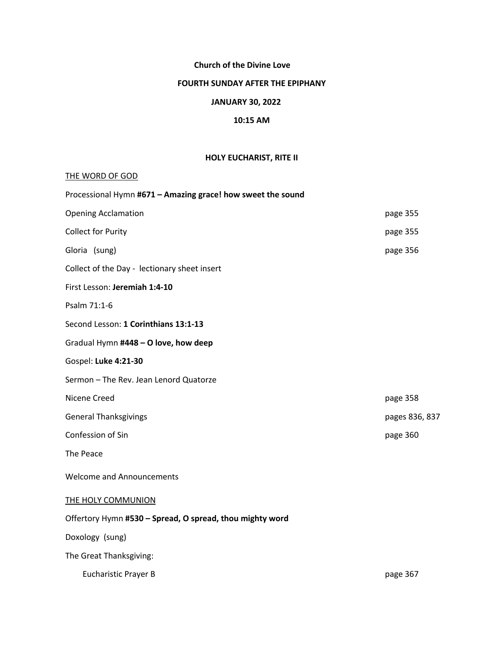# **Church of the Divine Love**

### **FOURTH SUNDAY AFTER THE EPIPHANY**

# **JANUARY 30, 2022**

## **10:15 AM**

# **HOLY EUCHARIST, RITE II**

## THE WORD OF GOD

| Processional Hymn #671 - Amazing grace! how sweet the sound |                |  |  |  |
|-------------------------------------------------------------|----------------|--|--|--|
| <b>Opening Acclamation</b>                                  | page 355       |  |  |  |
| <b>Collect for Purity</b>                                   | page 355       |  |  |  |
| Gloria (sung)                                               | page 356       |  |  |  |
| Collect of the Day - lectionary sheet insert                |                |  |  |  |
| First Lesson: Jeremiah 1:4-10                               |                |  |  |  |
| Psalm 71:1-6                                                |                |  |  |  |
| Second Lesson: 1 Corinthians 13:1-13                        |                |  |  |  |
| Gradual Hymn #448 - O love, how deep                        |                |  |  |  |
| Gospel: Luke 4:21-30                                        |                |  |  |  |
| Sermon - The Rev. Jean Lenord Quatorze                      |                |  |  |  |
| Nicene Creed                                                | page 358       |  |  |  |
| <b>General Thanksgivings</b>                                | pages 836, 837 |  |  |  |
| Confession of Sin                                           | page 360       |  |  |  |
| The Peace                                                   |                |  |  |  |
| <b>Welcome and Announcements</b>                            |                |  |  |  |
| <b>THE HOLY COMMUNION</b>                                   |                |  |  |  |
| Offertory Hymn #530 - Spread, O spread, thou mighty word    |                |  |  |  |
| Doxology (sung)                                             |                |  |  |  |
| The Great Thanksgiving:                                     |                |  |  |  |
| <b>Eucharistic Prayer B</b>                                 | page 367       |  |  |  |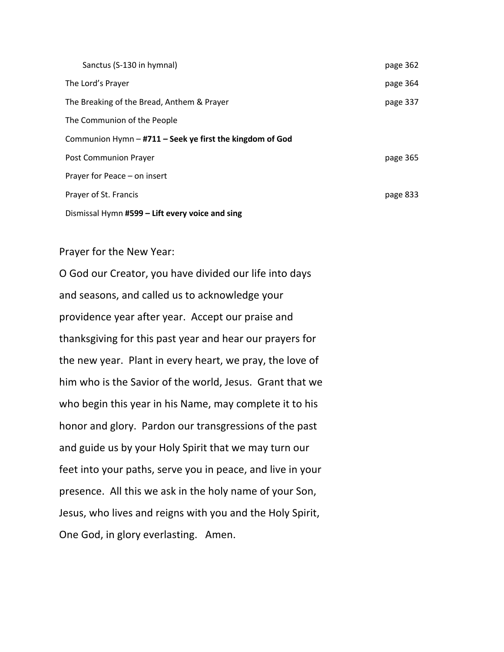|                                                          | Sanctus (S-130 in hymnal)                       | page 362 |  |
|----------------------------------------------------------|-------------------------------------------------|----------|--|
|                                                          | The Lord's Prayer                               | page 364 |  |
|                                                          | The Breaking of the Bread, Anthem & Prayer      | page 337 |  |
|                                                          | The Communion of the People                     |          |  |
| Communion Hymn - #711 - Seek ye first the kingdom of God |                                                 |          |  |
|                                                          | Post Communion Prayer                           | page 365 |  |
|                                                          | Prayer for Peace - on insert                    |          |  |
|                                                          | Prayer of St. Francis                           | page 833 |  |
|                                                          | Dismissal Hymn #599 - Lift every voice and sing |          |  |

Prayer for the New Year:

O God our Creator, you have divided our life into days and seasons, and called us to acknowledge your providence year after year. Accept our praise and thanksgiving for this past year and hear our prayers for the new year. Plant in every heart, we pray, the love of him who is the Savior of the world, Jesus. Grant that we who begin this year in his Name, may complete it to his honor and glory. Pardon our transgressions of the past and guide us by your Holy Spirit that we may turn our feet into your paths, serve you in peace, and live in your presence. All this we ask in the holy name of your Son, Jesus, who lives and reigns with you and the Holy Spirit, One God, in glory everlasting. Amen.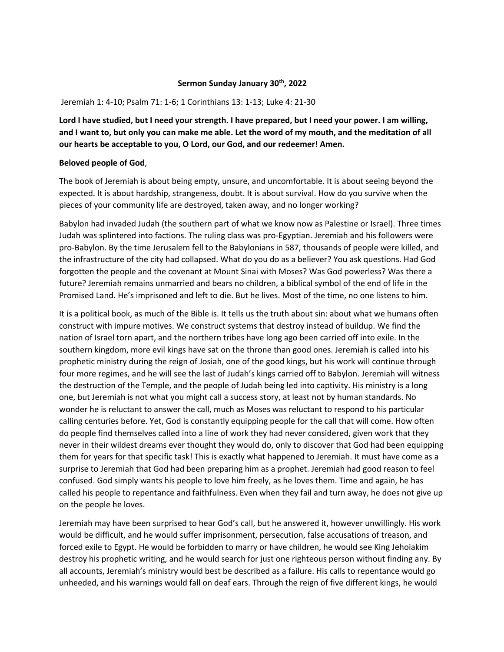#### **Sermon Sunday January 30th, 2022**

#### Jeremiah 1: 4-10; Psalm 71: 1-6; 1 Corinthians 13: 1-13; Luke 4: 21-30

**Lord I have studied, but I need your strength. I have prepared, but I need your power. I am willing, and I want to, but only you can make me able. Let the word of my mouth, and the meditation of all our hearts be acceptable to you, O Lord, our God, and our redeemer! Amen.**

### **Beloved people of God**,

The book of Jeremiah is about being empty, unsure, and uncomfortable. It is about seeing beyond the expected. It is about hardship, strangeness, doubt. It is about survival. How do you survive when the pieces of your community life are destroyed, taken away, and no longer working?

Babylon had invaded Judah (the southern part of what we know now as Palestine or Israel). Three times Judah was splintered into factions. The ruling class was pro-Egyptian. Jeremiah and his followers were pro-Babylon. By the time Jerusalem fell to the Babylonians in 587, thousands of people were killed, and the infrastructure of the city had collapsed. What do you do as a believer? You ask questions. Had God forgotten the people and the covenant at Mount Sinai with Moses? Was God powerless? Was there a future? Jeremiah remains unmarried and bears no children, a biblical symbol of the end of life in the Promised Land. He's imprisoned and left to die. But he lives. Most of the time, no one listens to him.

It is a political book, as much of the Bible is. It tells us the truth about sin: about what we humans often construct with impure motives. We construct systems that destroy instead of buildup. We find the nation of Israel torn apart, and the northern tribes have long ago been carried off into exile. In the southern kingdom, more evil kings have sat on the throne than good ones. Jeremiah is called into his prophetic ministry during the reign of Josiah, one of the good kings, but his work will continue through four more regimes, and he will see the last of Judah's kings carried off to Babylon. Jeremiah will witness the destruction of the Temple, and the people of Judah being led into captivity. His ministry is a long one, but Jeremiah is not what you might call a success story, at least not by human standards. No wonder he is reluctant to answer the call, much as Moses was reluctant to respond to his particular calling centuries before. Yet, God is constantly equipping people for the call that will come. How often do people find themselves called into a line of work they had never considered, given work that they never in their wildest dreams ever thought they would do, only to discover that God had been equipping them for years for that specific task! This is exactly what happened to Jeremiah. It must have come as a surprise to Jeremiah that God had been preparing him as a prophet. Jeremiah had good reason to feel confused. God simply wants his people to love him freely, as he loves them. Time and again, he has called his people to repentance and faithfulness. Even when they fail and turn away, he does not give up on the people he loves.

Jeremiah may have been surprised to hear God's call, but he answered it, however unwillingly. His work would be difficult, and he would suffer imprisonment, persecution, false accusations of treason, and forced exile to Egypt. He would be forbidden to marry or have children, he would see King Jehoiakim destroy his prophetic writing, and he would search for just one righteous person without finding any. By all accounts, Jeremiah's ministry would best be described as a failure. His calls to repentance would go unheeded, and his warnings would fall on deaf ears. Through the reign of five different kings, he would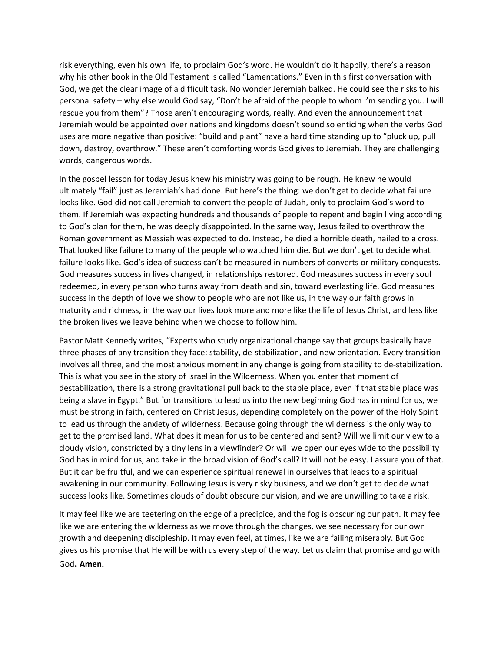risk everything, even his own life, to proclaim God's word. He wouldn't do it happily, there's a reason why his other book in the Old Testament is called "Lamentations." Even in this first conversation with God, we get the clear image of a difficult task. No wonder Jeremiah balked. He could see the risks to his personal safety – why else would God say, "Don't be afraid of the people to whom I'm sending you. I will rescue you from them"? Those aren't encouraging words, really. And even the announcement that Jeremiah would be appointed over nations and kingdoms doesn't sound so enticing when the verbs God uses are more negative than positive: "build and plant" have a hard time standing up to "pluck up, pull down, destroy, overthrow." These aren't comforting words God gives to Jeremiah. They are challenging words, dangerous words.

In the gospel lesson for today Jesus knew his ministry was going to be rough. He knew he would ultimately "fail" just as Jeremiah's had done. But here's the thing: we don't get to decide what failure looks like. God did not call Jeremiah to convert the people of Judah, only to proclaim God's word to them. If Jeremiah was expecting hundreds and thousands of people to repent and begin living according to God's plan for them, he was deeply disappointed. In the same way, Jesus failed to overthrow the Roman government as Messiah was expected to do. Instead, he died a horrible death, nailed to a cross. That looked like failure to many of the people who watched him die. But we don't get to decide what failure looks like. God's idea of success can't be measured in numbers of converts or military conquests. God measures success in lives changed, in relationships restored. God measures success in every soul redeemed, in every person who turns away from death and sin, toward everlasting life. God measures success in the depth of love we show to people who are not like us, in the way our faith grows in maturity and richness, in the way our lives look more and more like the life of Jesus Christ, and less like the broken lives we leave behind when we choose to follow him.

Pastor Matt Kennedy writes, "Experts who study organizational change say that groups basically have three phases of any transition they face: stability, de-stabilization, and new orientation. Every transition involves all three, and the most anxious moment in any change is going from stability to de-stabilization. This is what you see in the story of Israel in the Wilderness. When you enter that moment of destabilization, there is a strong gravitational pull back to the stable place, even if that stable place was being a slave in Egypt." But for transitions to lead us into the new beginning God has in mind for us, we must be strong in faith, centered on Christ Jesus, depending completely on the power of the Holy Spirit to lead us through the anxiety of wilderness. Because going through the wilderness is the only way to get to the promised land. What does it mean for us to be centered and sent? Will we limit our view to a cloudy vision, constricted by a tiny lens in a viewfinder? Or will we open our eyes wide to the possibility God has in mind for us, and take in the broad vision of God's call? It will not be easy. I assure you of that. But it can be fruitful, and we can experience spiritual renewal in ourselves that leads to a spiritual awakening in our community. Following Jesus is very risky business, and we don't get to decide what success looks like. Sometimes clouds of doubt obscure our vision, and we are unwilling to take a risk.

It may feel like we are teetering on the edge of a precipice, and the fog is obscuring our path. It may feel like we are entering the wilderness as we move through the changes, we see necessary for our own growth and deepening discipleship. It may even feel, at times, like we are failing miserably. But God gives us his promise that He will be with us every step of the way. Let us claim that promise and go with God**. Amen.**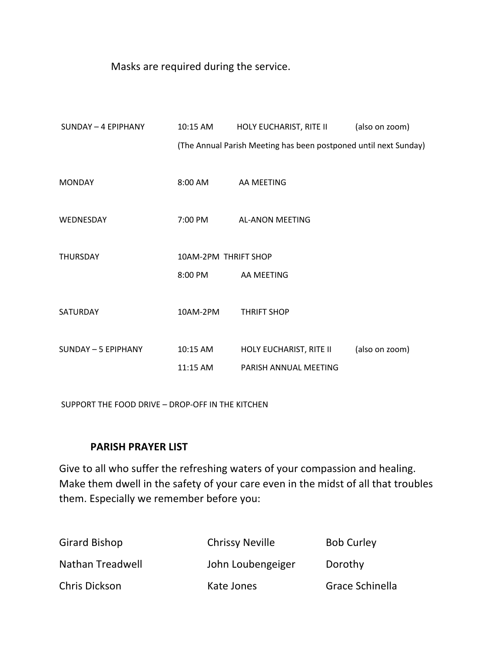Masks are required during the service.

| SUNDAY - 4 EPIPHANY | 10:15 AM             | HOLY EUCHARIST, RITE II                                          | (also on zoom) |
|---------------------|----------------------|------------------------------------------------------------------|----------------|
|                     |                      | (The Annual Parish Meeting has been postponed until next Sunday) |                |
|                     |                      |                                                                  |                |
| <b>MONDAY</b>       | $8:00$ AM            | AA MEETING                                                       |                |
|                     |                      |                                                                  |                |
| WEDNESDAY           | 7:00 PM              | AL-ANON MEETING                                                  |                |
|                     |                      |                                                                  |                |
| <b>THURSDAY</b>     | 10AM-2PM THRIFT SHOP |                                                                  |                |
|                     | 8:00 PM              | AA MEETING                                                       |                |
|                     |                      |                                                                  |                |
| <b>SATURDAY</b>     | 10AM-2PM             | <b>THRIFT SHOP</b>                                               |                |
|                     |                      |                                                                  |                |
| SUNDAY - 5 EPIPHANY | 10:15 AM             | HOLY EUCHARIST, RITE II                                          | (also on zoom) |
|                     | 11:15 AM             | PARISH ANNUAL MEETING                                            |                |

SUPPORT THE FOOD DRIVE – DROP-OFF IN THE KITCHEN

# **PARISH PRAYER LIST**

Give to all who suffer the refreshing waters of your compassion and healing. Make them dwell in the safety of your care even in the midst of all that troubles them. Especially we remember before you:

| <b>Girard Bishop</b> | <b>Chrissy Neville</b> | <b>Bob Curley</b> |
|----------------------|------------------------|-------------------|
| Nathan Treadwell     | John Loubengeiger      | Dorothy           |
| <b>Chris Dickson</b> | Kate Jones             | Grace Schinella   |